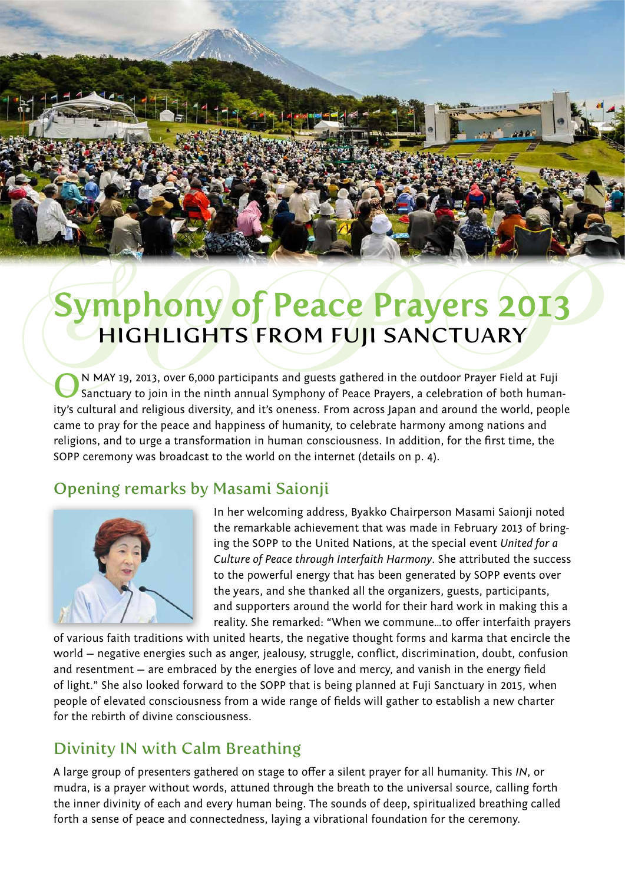

# **Symphony of Peace Prayers 2013**<br>HIGHLIGHTS FROM FUJI SANCTUARY<br>CN MAY 19, 2013, over 6,000 participants and guests gathered in the outdoor Prayer Field at Fuji HIGHLIGHTS FROM FUJI SANCTUARY

ON MAY 19, 2013, over 6,000 participants and guests gathered in the outdoor Prayer Field at Fuji<br>Sanctuary to join in the ninth annual Symphony of Peace Prayers, a celebration of both humanity's cultural and religious diversity, and it's oneness. From across Japan and around the world, people came to pray for the peace and happiness of humanity, to celebrate harmony among nations and religions, and to urge a transformation in human consciousness. In addition, for the first time, the SOPP ceremony was broadcast to the world on the internet (details on p. 4).

# Opening remarks by Masami Saionji



In her welcoming address, Byakko Chairperson Masami Saionji noted the remarkable achievement that was made in February 2013 of bringing the SOPP to the United Nations, at the special event *United for a Culture of Peace through Interfaith Harmony*. She attributed the success to the powerful energy that has been generated by SOPP events over the years, and she thanked all the organizers, guests, participants, and supporters around the world for their hard work in making this a reality. She remarked: "When we commune…to offer interfaith prayers

of various faith traditions with united hearts, the negative thought forms and karma that encircle the world — negative energies such as anger, jealousy, struggle, conflict, discrimination, doubt, confusion and resentment — are embraced by the energies of love and mercy, and vanish in the energy field of light." She also looked forward to the SOPP that is being planned at Fuji Sanctuary in 2015, when people of elevated consciousness from a wide range of fields will gather to establish a new charter for the rebirth of divine consciousness.

# Divinity IN with Calm Breathing

A large group of presenters gathered on stage to offer a silent prayer for all humanity. This *IN*, or mudra, is a prayer without words, attuned through the breath to the universal source, calling forth the inner divinity of each and every human being. The sounds of deep, spiritualized breathing called forth a sense of peace and connectedness, laying a vibrational foundation for the ceremony.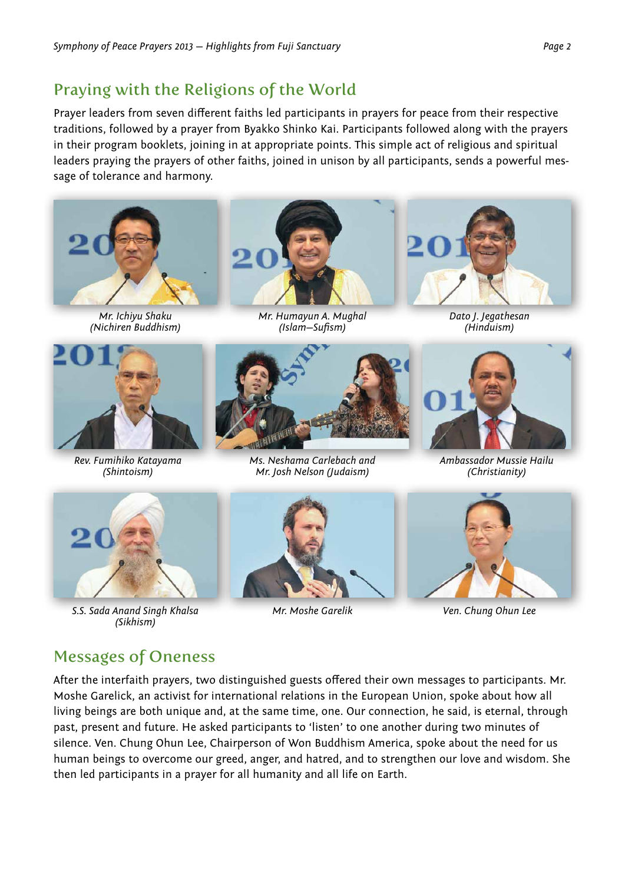### Praying with the Religions of the World

Prayer leaders from seven different faiths led participants in prayers for peace from their respective traditions, followed by a prayer from Byakko Shinko Kai. Participants followed along with the prayers in their program booklets, joining in at appropriate points. This simple act of religious and spiritual leaders praying the prayers of other faiths, joined in unison by all participants, sends a powerful message of tolerance and harmony.



*Mr. Ichiyu Shaku (Nichiren Buddhism)*



*Rev. Fumihiko Katayama (Shintoism)*



*Mr. Humayun A. Mughal (Islam—Sufism)*



*Ms. Neshama Carlebach and Mr. Josh Nelson (Judaism)*



*Dato J. Jegathesan (Hinduism)*



*Ambassador Mussie Hailu (Christianity)*



*S.S. Sada Anand Singh Khalsa (Sikhism)*



*Mr. Moshe Garelik*



*Ven. Chung Ohun Lee*

### Messages of Oneness

After the interfaith prayers, two distinguished guests offered their own messages to participants. Mr. Moshe Garelick, an activist for international relations in the European Union, spoke about how all living beings are both unique and, at the same time, one. Our connection, he said, is eternal, through past, present and future. He asked participants to 'listen' to one another during two minutes of silence. Ven. Chung Ohun Lee, Chairperson of Won Buddhism America, spoke about the need for us human beings to overcome our greed, anger, and hatred, and to strengthen our love and wisdom. She then led participants in a prayer for all humanity and all life on Earth.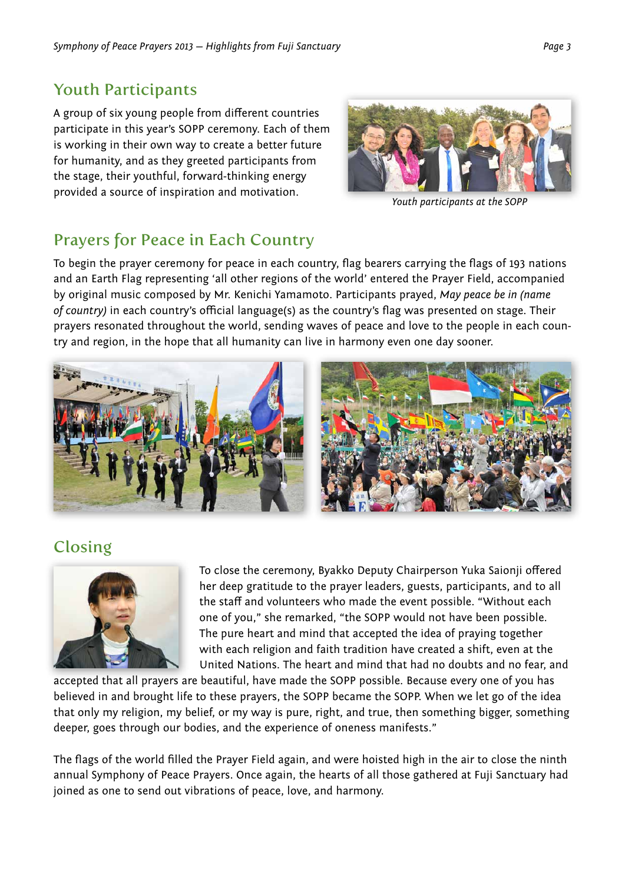## Youth Participants

A group of six young people from different countries participate in this year's SOPP ceremony. Each of them is working in their own way to create a better future for humanity, and as they greeted participants from the stage, their youthful, forward-thinking energy provided a source of inspiration and motivation.



*Youth participants at the SOPP*

# Prayers for Peace in Each Country

To begin the prayer ceremony for peace in each country, flag bearers carrying the flags of 193 nations and an Earth Flag representing 'all other regions of the world' entered the Prayer Field, accompanied by original music composed by Mr. Kenichi Yamamoto. Participants prayed, *May peace be in (name of country)* in each country's official language(s) as the country's flag was presented on stage. Their prayers resonated throughout the world, sending waves of peace and love to the people in each country and region, in the hope that all humanity can live in harmony even one day sooner.



# Closing



To close the ceremony, Byakko Deputy Chairperson Yuka Saionji offered her deep gratitude to the prayer leaders, guests, participants, and to all the staff and volunteers who made the event possible. "Without each one of you," she remarked, "the SOPP would not have been possible. The pure heart and mind that accepted the idea of praying together with each religion and faith tradition have created a shift, even at the United Nations. The heart and mind that had no doubts and no fear, and

accepted that all prayers are beautiful, have made the SOPP possible. Because every one of you has believed in and brought life to these prayers, the SOPP became the SOPP. When we let go of the idea that only my religion, my belief, or my way is pure, right, and true, then something bigger, something deeper, goes through our bodies, and the experience of oneness manifests."

The flags of the world filled the Prayer Field again, and were hoisted high in the air to close the ninth annual Symphony of Peace Prayers. Once again, the hearts of all those gathered at Fuji Sanctuary had joined as one to send out vibrations of peace, love, and harmony.